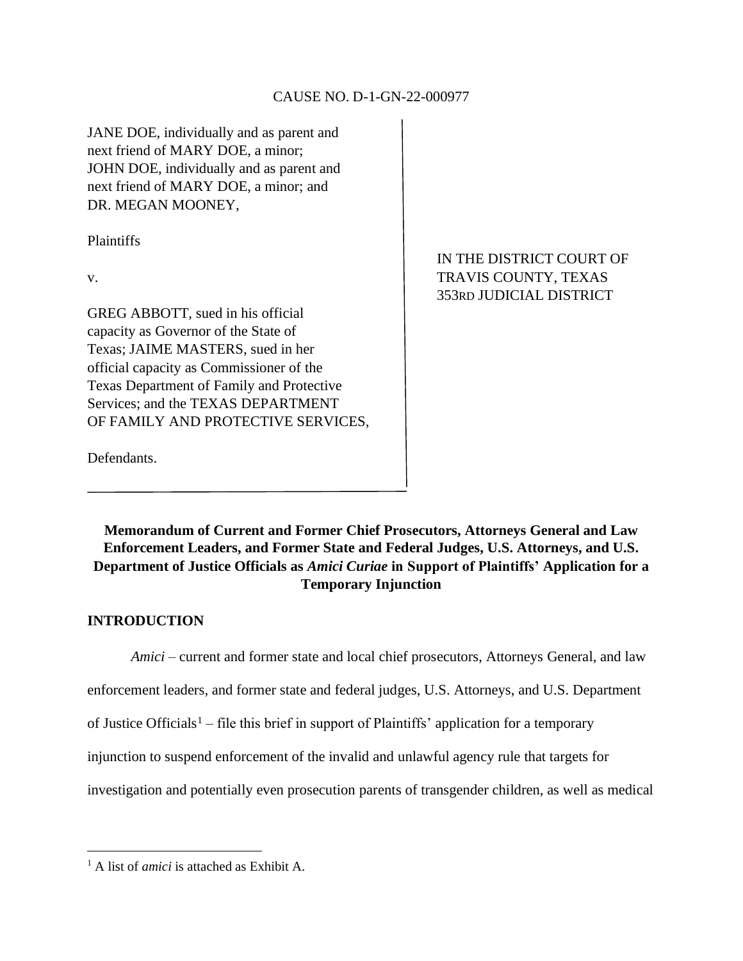#### CAUSE NO. D-1-GN-22-000977

JANE DOE, individually and as parent and next friend of MARY DOE, a minor; JOHN DOE, individually and as parent and next friend of MARY DOE, a minor; and DR. MEGAN MOONEY,

Plaintiffs

GREG ABBOTT, sued in his official capacity as Governor of the State of Texas; JAIME MASTERS, sued in her official capacity as Commissioner of the Texas Department of Family and Protective Services; and the TEXAS DEPARTMENT OF FAMILY AND PROTECTIVE SERVICES,

IN THE DISTRICT COURT OF v. 353RD JUDICIAL DISTRICT

Defendants.

**Memorandum of Current and Former Chief Prosecutors, Attorneys General and Law Enforcement Leaders, and Former State and Federal Judges, U.S. Attorneys, and U.S. Department of Justice Officials as** *Amici Curiae* **in Support of Plaintiffs' Application for a Temporary Injunction**

#### **INTRODUCTION**

*Amici* – current and former state and local chief prosecutors, Attorneys General, and law

enforcement leaders, and former state and federal judges, U.S. Attorneys, and U.S. Department

of Justice Officials<sup>1</sup> – file this brief in support of Plaintiffs' application for a temporary

injunction to suspend enforcement of the invalid and unlawful agency rule that targets for

investigation and potentially even prosecution parents of transgender children, as well as medical

<sup>1</sup> A list of *amici* is attached as Exhibit A.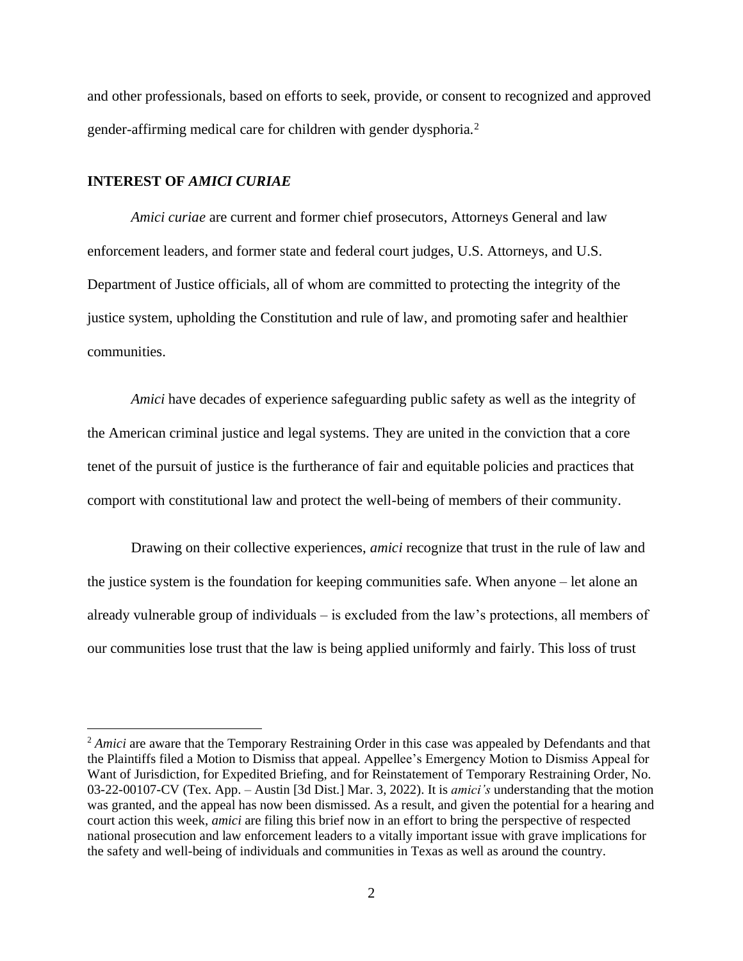and other professionals, based on efforts to seek, provide, or consent to recognized and approved gender-affirming medical care for children with gender dysphoria.<sup>2</sup>

#### **INTEREST OF** *AMICI CURIAE*

*Amici curiae* are current and former chief prosecutors, Attorneys General and law enforcement leaders, and former state and federal court judges, U.S. Attorneys, and U.S. Department of Justice officials, all of whom are committed to protecting the integrity of the justice system, upholding the Constitution and rule of law, and promoting safer and healthier communities.

*Amici* have decades of experience safeguarding public safety as well as the integrity of the American criminal justice and legal systems. They are united in the conviction that a core tenet of the pursuit of justice is the furtherance of fair and equitable policies and practices that comport with constitutional law and protect the well-being of members of their community.

Drawing on their collective experiences, *amici* recognize that trust in the rule of law and the justice system is the foundation for keeping communities safe. When anyone – let alone an already vulnerable group of individuals – is excluded from the law's protections, all members of our communities lose trust that the law is being applied uniformly and fairly. This loss of trust

<sup>&</sup>lt;sup>2</sup> *Amici* are aware that the Temporary Restraining Order in this case was appealed by Defendants and that the Plaintiffs filed a Motion to Dismiss that appeal. Appellee's Emergency Motion to Dismiss Appeal for Want of Jurisdiction, for Expedited Briefing, and for Reinstatement of Temporary Restraining Order, No. 03-22-00107-CV (Tex. App. – Austin [3d Dist.] Mar. 3, 2022). It is *amici's* understanding that the motion was granted, and the appeal has now been dismissed. As a result, and given the potential for a hearing and court action this week, *amici* are filing this brief now in an effort to bring the perspective of respected national prosecution and law enforcement leaders to a vitally important issue with grave implications for the safety and well-being of individuals and communities in Texas as well as around the country.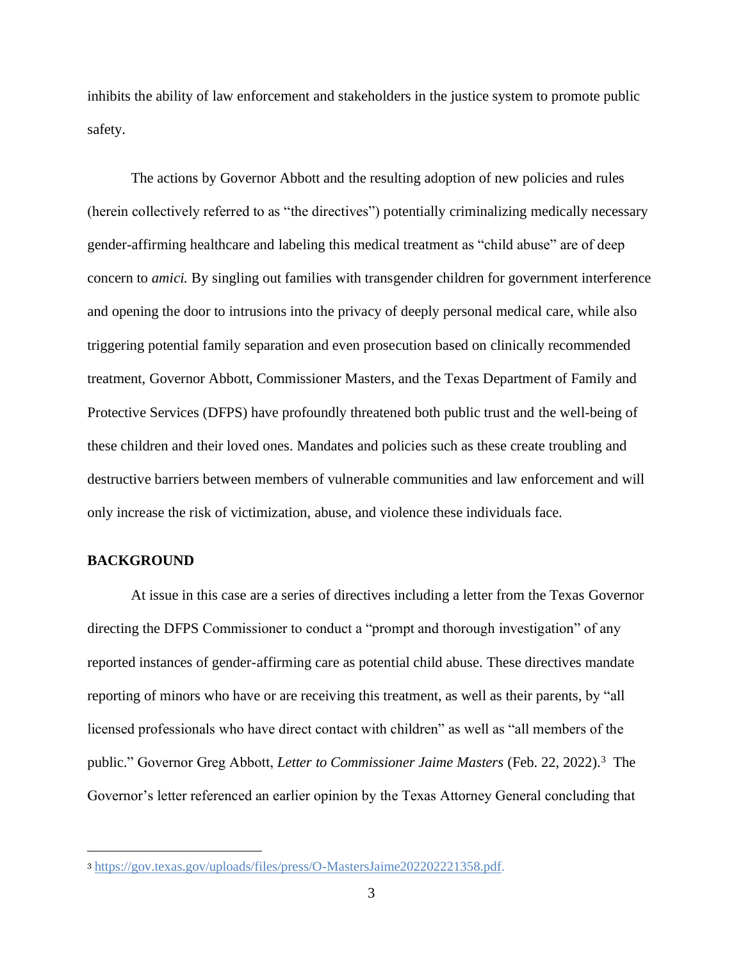inhibits the ability of law enforcement and stakeholders in the justice system to promote public safety.

The actions by Governor Abbott and the resulting adoption of new policies and rules (herein collectively referred to as "the directives") potentially criminalizing medically necessary gender-affirming healthcare and labeling this medical treatment as "child abuse" are of deep concern to *amici.* By singling out families with transgender children for government interference and opening the door to intrusions into the privacy of deeply personal medical care, while also triggering potential family separation and even prosecution based on clinically recommended treatment, Governor Abbott, Commissioner Masters, and the Texas Department of Family and Protective Services (DFPS) have profoundly threatened both public trust and the well-being of these children and their loved ones. Mandates and policies such as these create troubling and destructive barriers between members of vulnerable communities and law enforcement and will only increase the risk of victimization, abuse, and violence these individuals face.

# **BACKGROUND**

At issue in this case are a series of directives including a letter from the Texas Governor directing the DFPS Commissioner to conduct a "prompt and thorough investigation" of any reported instances of gender-affirming care as potential child abuse. These directives mandate reporting of minors who have or are receiving this treatment, as well as their parents, by "all licensed professionals who have direct contact with children" as well as "all members of the public." Governor Greg Abbott, *Letter to Commissioner Jaime Masters* (Feb. 22, 2022).<sup>3</sup> The Governor's letter referenced an earlier opinion by the Texas Attorney General concluding that

<sup>3</sup> [https://gov.texas.gov/uploads/files/press/O-MastersJaime202202221358.pdf.](https://gov.texas.gov/uploads/files/press/O-MastersJaime202202221358.pdf)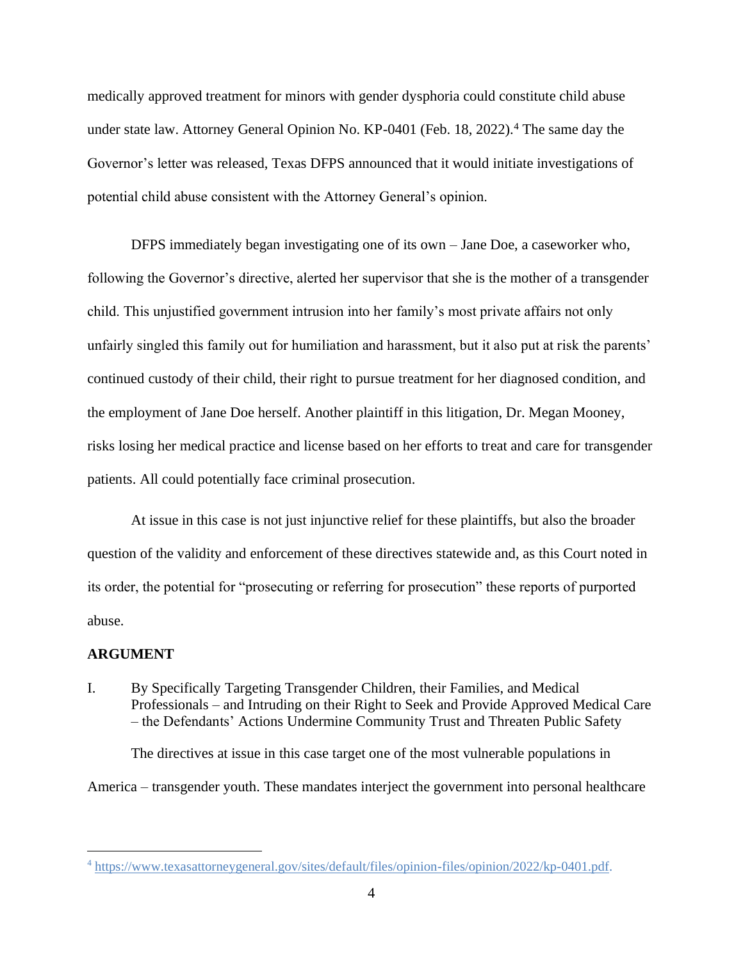medically approved treatment for minors with gender dysphoria could constitute child abuse under state law. Attorney General Opinion No. KP-0401 (Feb. 18, 2022).<sup>4</sup> The same day the Governor's letter was released, Texas DFPS announced that it would initiate investigations of potential child abuse consistent with the Attorney General's opinion.

DFPS immediately began investigating one of its own – Jane Doe, a caseworker who, following the Governor's directive, alerted her supervisor that she is the mother of a transgender child. This unjustified government intrusion into her family's most private affairs not only unfairly singled this family out for humiliation and harassment, but it also put at risk the parents' continued custody of their child, their right to pursue treatment for her diagnosed condition, and the employment of Jane Doe herself. Another plaintiff in this litigation, Dr. Megan Mooney, risks losing her medical practice and license based on her efforts to treat and care for transgender patients. All could potentially face criminal prosecution.

At issue in this case is not just injunctive relief for these plaintiffs, but also the broader question of the validity and enforcement of these directives statewide and, as this Court noted in its order, the potential for "prosecuting or referring for prosecution" these reports of purported abuse.

#### **ARGUMENT**

I. By Specifically Targeting Transgender Children, their Families, and Medical Professionals – and Intruding on their Right to Seek and Provide Approved Medical Care – the Defendants' Actions Undermine Community Trust and Threaten Public Safety

The directives at issue in this case target one of the most vulnerable populations in America – transgender youth. These mandates interject the government into personal healthcare

<sup>4</sup> [https://www.texasattorneygeneral.gov/sites/default/files/opinion-files/opinion/2022/kp-0401.pdf.](https://www.texasattorneygeneral.gov/sites/default/files/opinion-files/opinion/2022/kp-0401.pdf)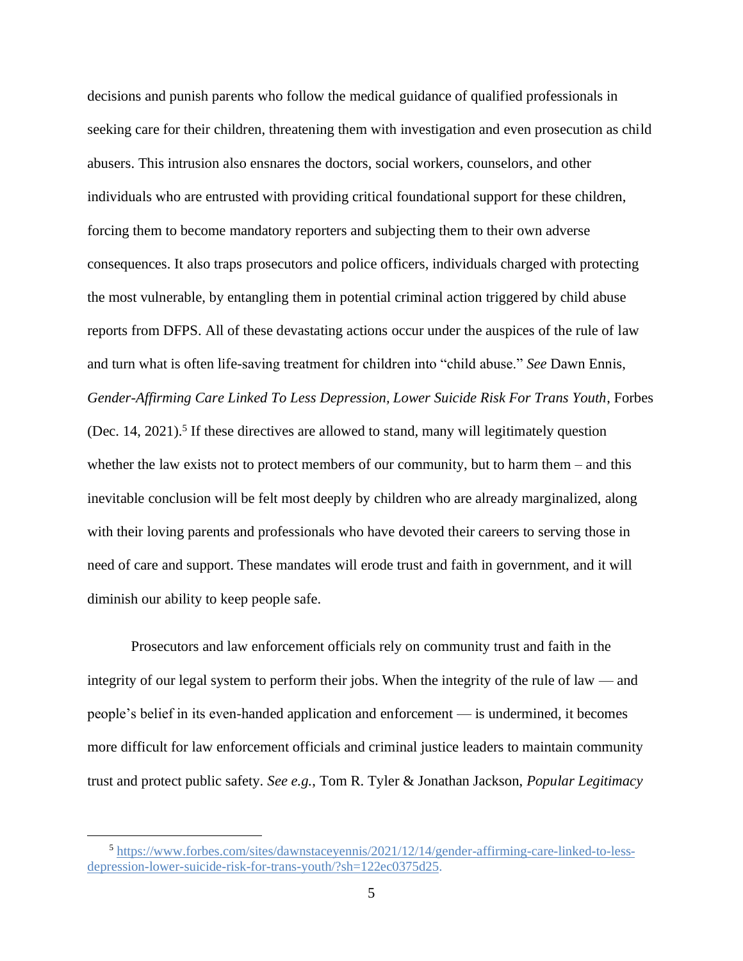decisions and punish parents who follow the medical guidance of qualified professionals in seeking care for their children, threatening them with investigation and even prosecution as child abusers. This intrusion also ensnares the doctors, social workers, counselors, and other individuals who are entrusted with providing critical foundational support for these children, forcing them to become mandatory reporters and subjecting them to their own adverse consequences. It also traps prosecutors and police officers, individuals charged with protecting the most vulnerable, by entangling them in potential criminal action triggered by child abuse reports from DFPS. All of these devastating actions occur under the auspices of the rule of law and turn what is often life-saving treatment for children into "child abuse." *See* Dawn Ennis, *Gender-Affirming Care Linked To Less Depression, Lower Suicide Risk For Trans Youth*, Forbes (Dec. 14, 2021).<sup>5</sup> If these directives are allowed to stand, many will legitimately question whether the law exists not to protect members of our community, but to harm them – and this inevitable conclusion will be felt most deeply by children who are already marginalized, along with their loving parents and professionals who have devoted their careers to serving those in need of care and support. These mandates will erode trust and faith in government, and it will diminish our ability to keep people safe.

Prosecutors and law enforcement officials rely on community trust and faith in the integrity of our legal system to perform their jobs. When the integrity of the rule of law — and people's belief in its even-handed application and enforcement — is undermined, it becomes more difficult for law enforcement officials and criminal justice leaders to maintain community trust and protect public safety. *See e.g.*, Tom R. Tyler & Jonathan Jackson, *Popular Legitimacy* 

<sup>5</sup> [https://www.forbes.com/sites/dawnstaceyennis/2021/12/14/gender-affirming-care-linked-to-less](https://www.forbes.com/sites/dawnstaceyennis/2021/12/14/gender-affirming-care-linked-to-less-depression-lower-suicide-risk-for-trans-youth/?sh=122ec0375d25)[depression-lower-suicide-risk-for-trans-youth/?sh=122ec0375d25.](https://www.forbes.com/sites/dawnstaceyennis/2021/12/14/gender-affirming-care-linked-to-less-depression-lower-suicide-risk-for-trans-youth/?sh=122ec0375d25)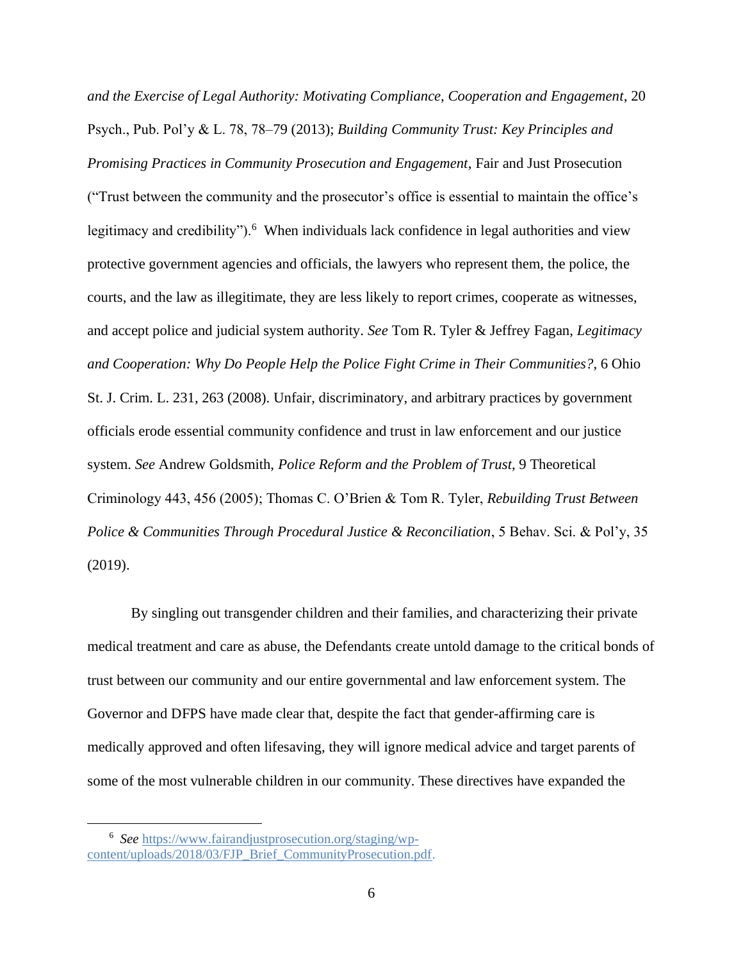*and the Exercise of Legal Authority: Motivating Compliance, Cooperation and Engagement*, 20 Psych., Pub. Pol'y & L. 78, 78–79 (2013); *Building Community Trust: Key Principles and Promising Practices in Community Prosecution and Engagement*, Fair and Just Prosecution

("Trust between the community and the prosecutor's office is essential to maintain the office's legitimacy and credibility").<sup>6</sup> When individuals lack confidence in legal authorities and view protective government agencies and officials, the lawyers who represent them, the police, the courts, and the law as illegitimate, they are less likely to report crimes, cooperate as witnesses, and accept police and judicial system authority. *See* Tom R. Tyler & Jeffrey Fagan, *Legitimacy and Cooperation: Why Do People Help the Police Fight Crime in Their Communities?*, 6 Ohio St. J. Crim. L. 231, 263 (2008). Unfair, discriminatory, and arbitrary practices by government officials erode essential community confidence and trust in law enforcement and our justice system. *See* Andrew Goldsmith, *Police Reform and the Problem of Trust*, 9 Theoretical Criminology 443, 456 (2005); Thomas C. O'Brien & Tom R. Tyler, *Rebuilding Trust Between Police & Communities Through Procedural Justice & Reconciliation*, 5 Behav. Sci. & Pol'y, 35 (2019).

By singling out transgender children and their families, and characterizing their private medical treatment and care as abuse, the Defendants create untold damage to the critical bonds of trust between our community and our entire governmental and law enforcement system. The Governor and DFPS have made clear that, despite the fact that gender-affirming care is medically approved and often lifesaving, they will ignore medical advice and target parents of some of the most vulnerable children in our community. These directives have expanded the

<sup>6</sup> *See* [https://www.fairandjustprosecution.org/staging/wp](https://www.fairandjustprosecution.org/staging/wp-content/uploads/2018/03/FJP_Brief_CommunityProsecution.pdf)[content/uploads/2018/03/FJP\\_Brief\\_CommunityProsecution.pdf.](https://www.fairandjustprosecution.org/staging/wp-content/uploads/2018/03/FJP_Brief_CommunityProsecution.pdf)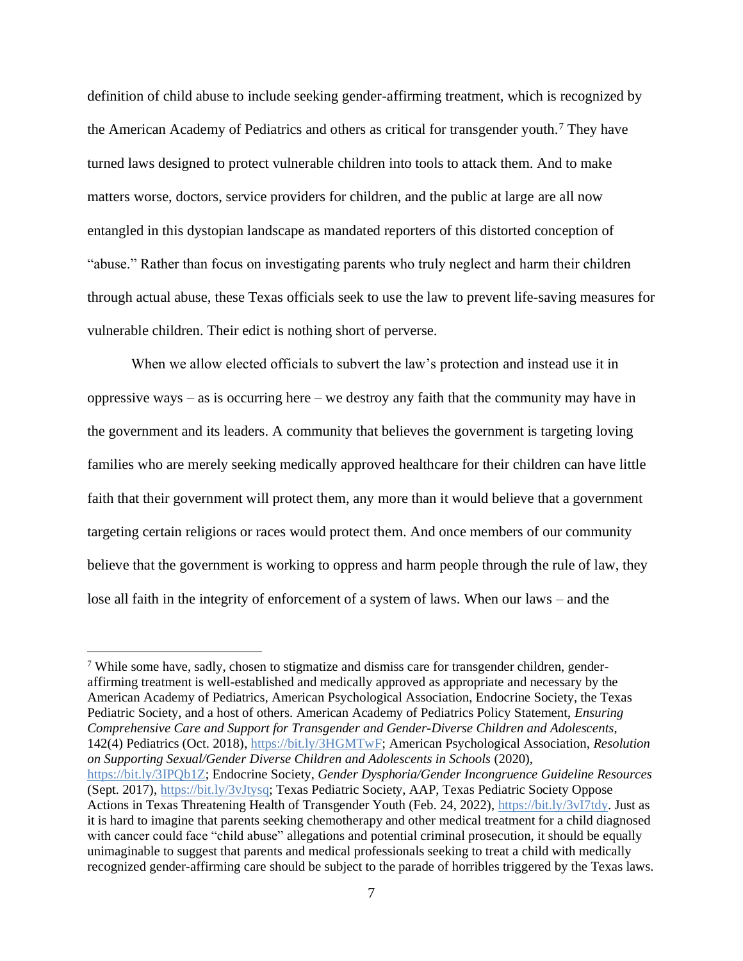definition of child abuse to include seeking gender-affirming treatment, which is recognized by the American Academy of Pediatrics and others as critical for transgender youth.<sup>7</sup> They have turned laws designed to protect vulnerable children into tools to attack them. And to make matters worse, doctors, service providers for children, and the public at large are all now entangled in this dystopian landscape as mandated reporters of this distorted conception of "abuse." Rather than focus on investigating parents who truly neglect and harm their children through actual abuse, these Texas officials seek to use the law to prevent life-saving measures for vulnerable children. Their edict is nothing short of perverse.

When we allow elected officials to subvert the law's protection and instead use it in oppressive ways – as is occurring here – we destroy any faith that the community may have in the government and its leaders. A community that believes the government is targeting loving families who are merely seeking medically approved healthcare for their children can have little faith that their government will protect them, any more than it would believe that a government targeting certain religions or races would protect them. And once members of our community believe that the government is working to oppress and harm people through the rule of law, they lose all faith in the integrity of enforcement of a system of laws. When our laws – and the

<sup>7</sup> While some have, sadly, chosen to stigmatize and dismiss care for transgender children, genderaffirming treatment is well-established and medically approved as appropriate and necessary by the American Academy of Pediatrics, American Psychological Association, Endocrine Society, the Texas Pediatric Society, and a host of others. American Academy of Pediatrics Policy Statement, *Ensuring Comprehensive Care and Support for Transgender and Gender-Diverse Children and Adolescents*, 142(4) Pediatrics (Oct. 2018)[, https://bit.ly/3HGMTwF;](https://bit.ly/3HGMTwF) American Psychological Association, *Resolution on Supporting Sexual/Gender Diverse Children and Adolescents in Schools* (2020), [https://bit.ly/3IPQb1Z;](https://bit.ly/3IPQb1Z) Endocrine Society, *Gender Dysphoria/Gender Incongruence Guideline Resources* (Sept. 2017), [https://bit.ly/3vJtysq;](https://bit.ly/3vJtysq) Texas Pediatric Society, AAP, Texas Pediatric Society Oppose Actions in Texas Threatening Health of Transgender Youth (Feb. 24, 2022), [https://bit.ly/3vI7tdy.](https://bit.ly/3vI7tdy) Just as it is hard to imagine that parents seeking chemotherapy and other medical treatment for a child diagnosed with cancer could face "child abuse" allegations and potential criminal prosecution, it should be equally unimaginable to suggest that parents and medical professionals seeking to treat a child with medically recognized gender-affirming care should be subject to the parade of horribles triggered by the Texas laws.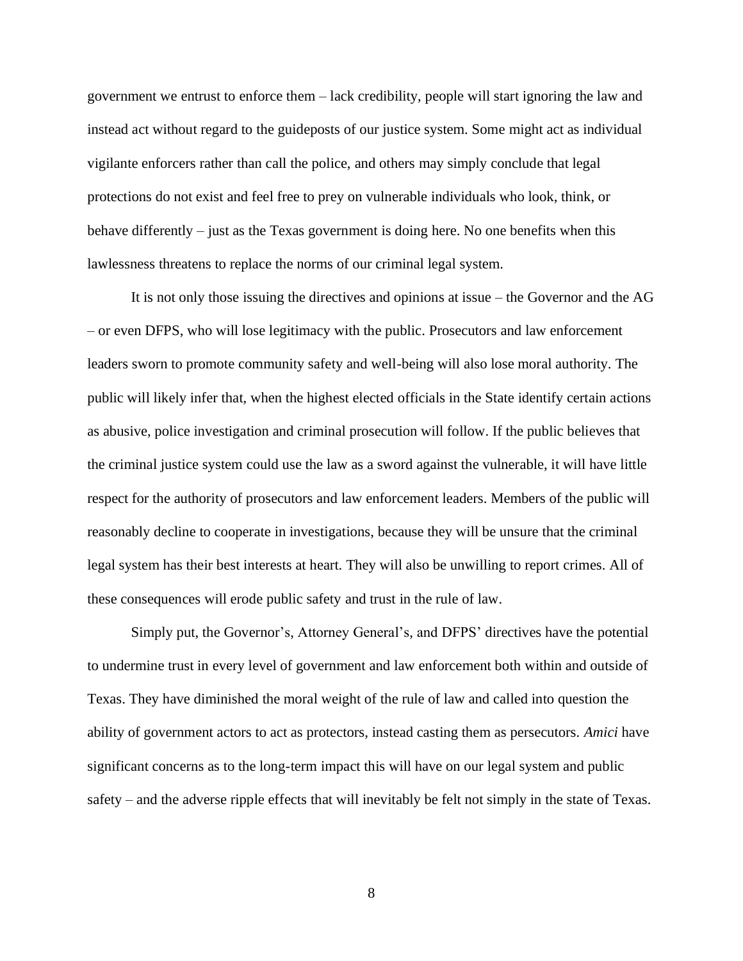government we entrust to enforce them – lack credibility, people will start ignoring the law and instead act without regard to the guideposts of our justice system. Some might act as individual vigilante enforcers rather than call the police, and others may simply conclude that legal protections do not exist and feel free to prey on vulnerable individuals who look, think, or behave differently – just as the Texas government is doing here. No one benefits when this lawlessness threatens to replace the norms of our criminal legal system.

It is not only those issuing the directives and opinions at issue – the Governor and the AG – or even DFPS, who will lose legitimacy with the public. Prosecutors and law enforcement leaders sworn to promote community safety and well-being will also lose moral authority. The public will likely infer that, when the highest elected officials in the State identify certain actions as abusive, police investigation and criminal prosecution will follow. If the public believes that the criminal justice system could use the law as a sword against the vulnerable, it will have little respect for the authority of prosecutors and law enforcement leaders. Members of the public will reasonably decline to cooperate in investigations, because they will be unsure that the criminal legal system has their best interests at heart. They will also be unwilling to report crimes. All of these consequences will erode public safety and trust in the rule of law.

Simply put, the Governor's, Attorney General's, and DFPS' directives have the potential to undermine trust in every level of government and law enforcement both within and outside of Texas. They have diminished the moral weight of the rule of law and called into question the ability of government actors to act as protectors, instead casting them as persecutors. *Amici* have significant concerns as to the long-term impact this will have on our legal system and public safety – and the adverse ripple effects that will inevitably be felt not simply in the state of Texas.

8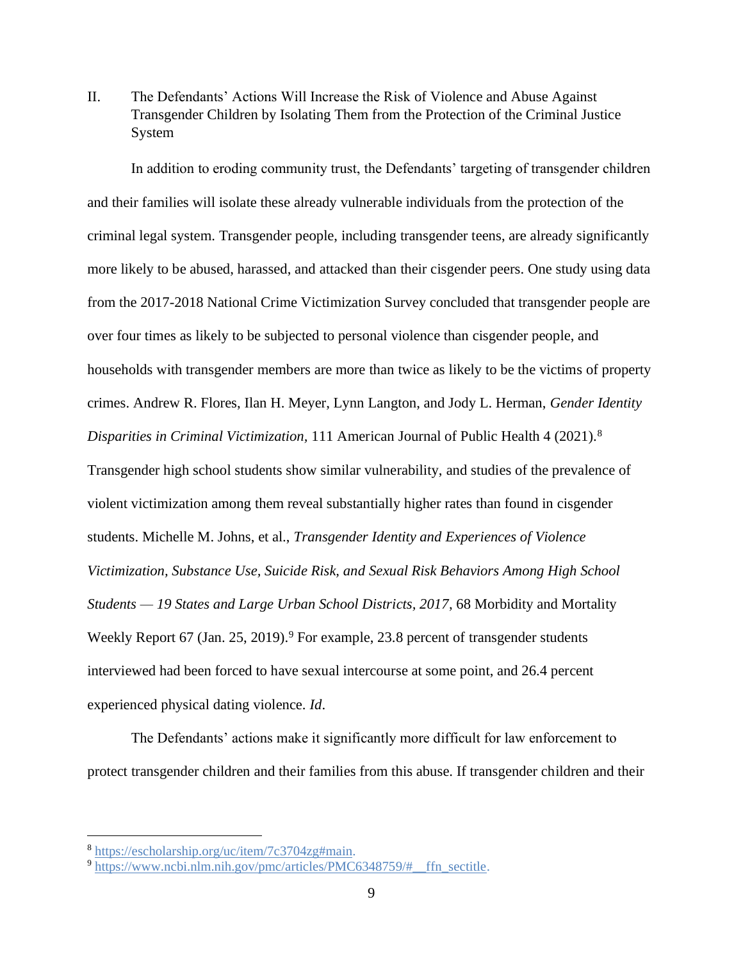II. The Defendants' Actions Will Increase the Risk of Violence and Abuse Against Transgender Children by Isolating Them from the Protection of the Criminal Justice System

In addition to eroding community trust, the Defendants' targeting of transgender children and their families will isolate these already vulnerable individuals from the protection of the criminal legal system. Transgender people, including transgender teens, are already significantly more likely to be abused, harassed, and attacked than their cisgender peers. One study using data from the 2017-2018 National Crime Victimization Survey concluded that transgender people are over four times as likely to be subjected to personal violence than cisgender people, and households with transgender members are more than twice as likely to be the victims of property crimes. Andrew R. Flores, Ilan H. Meyer, Lynn Langton, and Jody L. Herman, *Gender Identity Disparities in Criminal Victimization,* 111 American Journal of Public Health 4 (2021).<sup>8</sup> Transgender high school students show similar vulnerability, and studies of the prevalence of violent victimization among them reveal substantially higher rates than found in cisgender students. Michelle M. Johns, et al., *Transgender Identity and Experiences of Violence Victimization, Substance Use, Suicide Risk, and Sexual Risk Behaviors Among High School Students — 19 States and Large Urban School Districts, 2017*, 68 Morbidity and Mortality Weekly Report 67 (Jan. 25, 2019).<sup>9</sup> For example, 23.8 percent of transgender students interviewed had been forced to have sexual intercourse at some point, and 26.4 percent experienced physical dating violence. *Id*.

The Defendants' actions make it significantly more difficult for law enforcement to protect transgender children and their families from this abuse. If transgender children and their

<sup>8</sup> [https://escholarship.org/uc/item/7c3704zg#main.](https://escholarship.org/uc/item/7c3704zg#main)

<sup>&</sup>lt;sup>9</sup> https://www.ncbi.nlm.nih.gov/pmc/articles/PMC6348759/# ffn sectitle.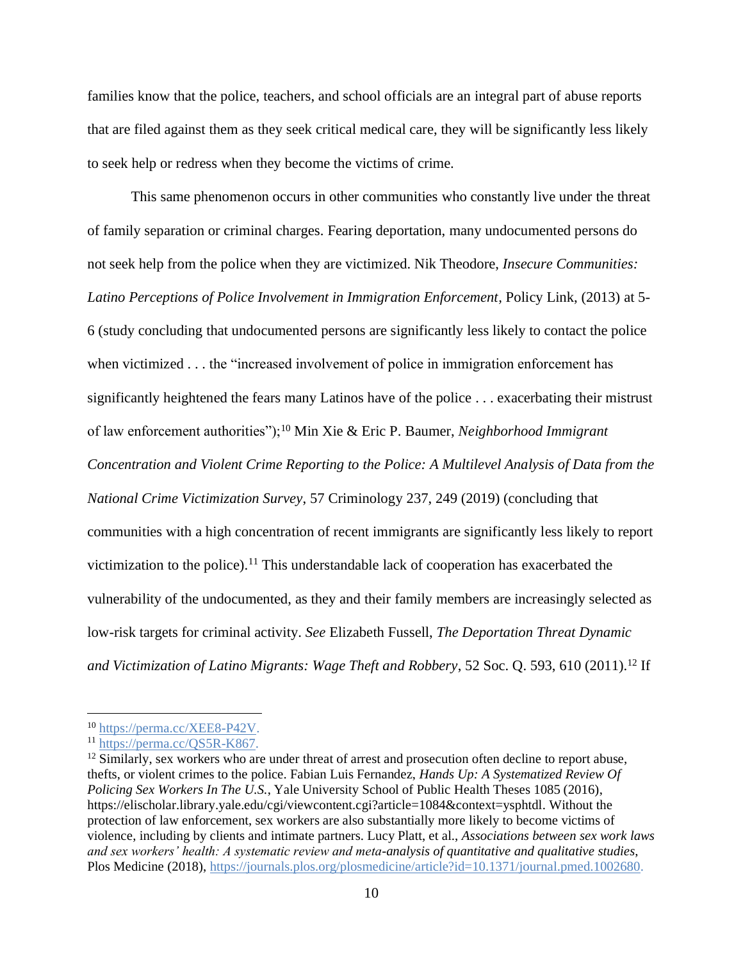families know that the police, teachers, and school officials are an integral part of abuse reports that are filed against them as they seek critical medical care, they will be significantly less likely to seek help or redress when they become the victims of crime.

This same phenomenon occurs in other communities who constantly live under the threat of family separation or criminal charges. Fearing deportation, many undocumented persons do not seek help from the police when they are victimized. Nik Theodore, *Insecure Communities: Latino Perceptions of Police Involvement in Immigration Enforcement,* Policy Link, (2013) at 5- 6 (study concluding that undocumented persons are significantly less likely to contact the police when victimized . . . the "increased involvement of police in immigration enforcement has significantly heightened the fears many Latinos have of the police . . . exacerbating their mistrust of law enforcement authorities");<sup>10</sup> Min Xie & Eric P. Baumer, *Neighborhood Immigrant Concentration and Violent Crime Reporting to the Police: A Multilevel Analysis of Data from the National Crime Victimization Survey*, 57 Criminology 237, 249 (2019) (concluding that communities with a high concentration of recent immigrants are significantly less likely to report victimization to the police).<sup>11</sup> This understandable lack of cooperation has exacerbated the vulnerability of the undocumented, as they and their family members are increasingly selected as low-risk targets for criminal activity. *See* Elizabeth Fussell, *The Deportation Threat Dynamic*  and Victimization of Latino Migrants: Wage Theft and Robbery, 52 Soc. Q. 593, 610 (2011).<sup>12</sup> If

<sup>10</sup> [https://perma.cc/XEE8-P42V.](https://perma.cc/XEE8-P42V)

<sup>11</sup> [https://perma.cc/QS5R-K867.](https://perma.cc/QS5R-K867)

<sup>&</sup>lt;sup>12</sup> Similarly, sex workers who are under threat of arrest and prosecution often decline to report abuse, thefts, or violent crimes to the police. Fabian Luis Fernandez, *Hands Up: A Systematized Review Of Policing Sex Workers In The U.S.*, Yale University School of Public Health Theses 1085 (2016), https://elischolar.library.yale.edu/cgi/viewcontent.cgi?article=1084&context=ysphtdl. Without the protection of law enforcement, sex workers are also substantially more likely to become victims of violence, including by clients and intimate partners. Lucy Platt, et al., *Associations between sex work laws and sex workers' health: A systematic review and meta-analysis of quantitative and qualitative studies*, Plos Medicine (2018), [https://journals.plos.org/plosmedicine/article?id=10.1371/journal.pmed.1002680.](https://journals.plos.org/plosmedicine/article?id=10.1371/journal.pmed.1002680)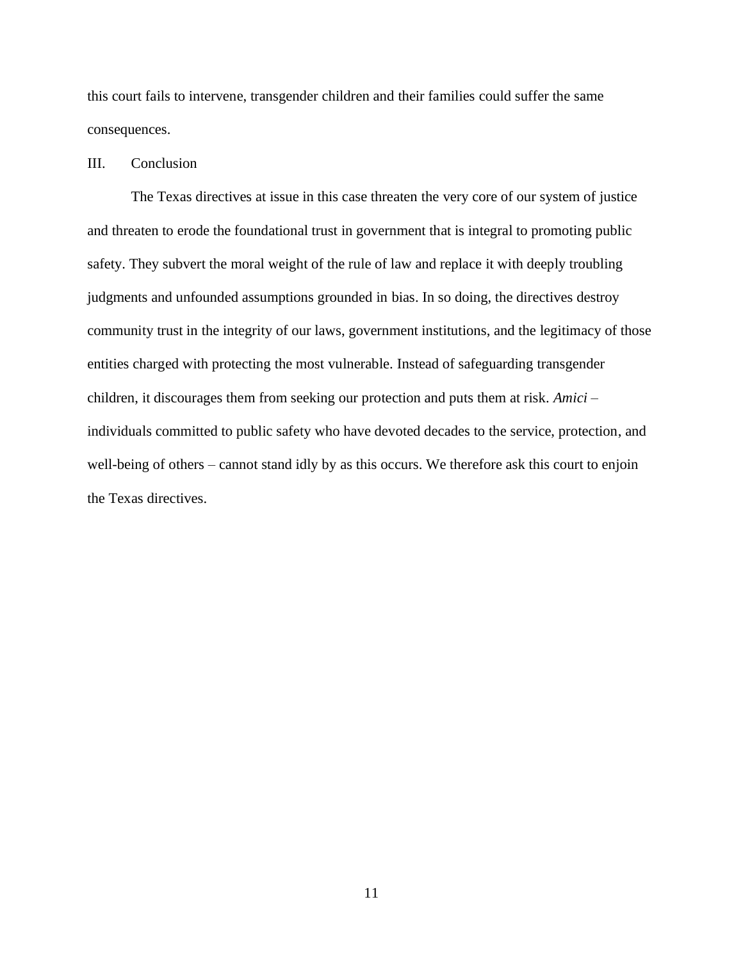this court fails to intervene, transgender children and their families could suffer the same consequences.

#### III. Conclusion

The Texas directives at issue in this case threaten the very core of our system of justice and threaten to erode the foundational trust in government that is integral to promoting public safety. They subvert the moral weight of the rule of law and replace it with deeply troubling judgments and unfounded assumptions grounded in bias. In so doing, the directives destroy community trust in the integrity of our laws, government institutions, and the legitimacy of those entities charged with protecting the most vulnerable. Instead of safeguarding transgender children, it discourages them from seeking our protection and puts them at risk. *Amici* – individuals committed to public safety who have devoted decades to the service, protection, and well-being of others – cannot stand idly by as this occurs. We therefore ask this court to enjoin the Texas directives.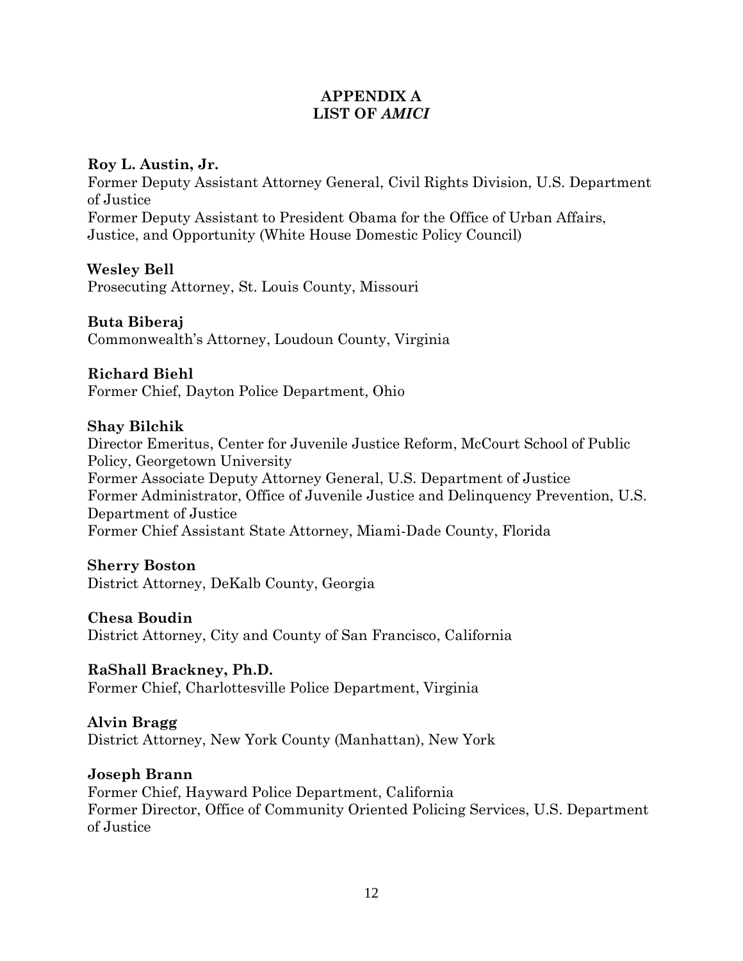# **APPENDIX A LIST OF** *AMICI*

## **Roy L. Austin, Jr.**

Former Deputy Assistant Attorney General, Civil Rights Division, U.S. Department of Justice Former Deputy Assistant to President Obama for the Office of Urban Affairs, Justice, and Opportunity (White House Domestic Policy Council)

## **Wesley Bell**

Prosecuting Attorney, St. Louis County, Missouri

#### **Buta Biberaj**

Commonwealth's Attorney, Loudoun County, Virginia

## **Richard Biehl**

Former Chief, Dayton Police Department, Ohio

#### **Shay Bilchik**

Director Emeritus, Center for Juvenile Justice Reform, McCourt School of Public Policy, Georgetown University Former Associate Deputy Attorney General, U.S. Department of Justice Former Administrator, Office of Juvenile Justice and Delinquency Prevention, U.S. Department of Justice Former Chief Assistant State Attorney, Miami-Dade County, Florida

## **Sherry Boston**

District Attorney, DeKalb County, Georgia

#### **Chesa Boudin**

District Attorney, City and County of San Francisco, California

## **RaShall Brackney, Ph.D.**

Former Chief, Charlottesville Police Department, Virginia

## **Alvin Bragg**

District Attorney, New York County (Manhattan), New York

## **Joseph Brann**

Former Chief, Hayward Police Department, California Former Director, Office of Community Oriented Policing Services, U.S. Department of Justice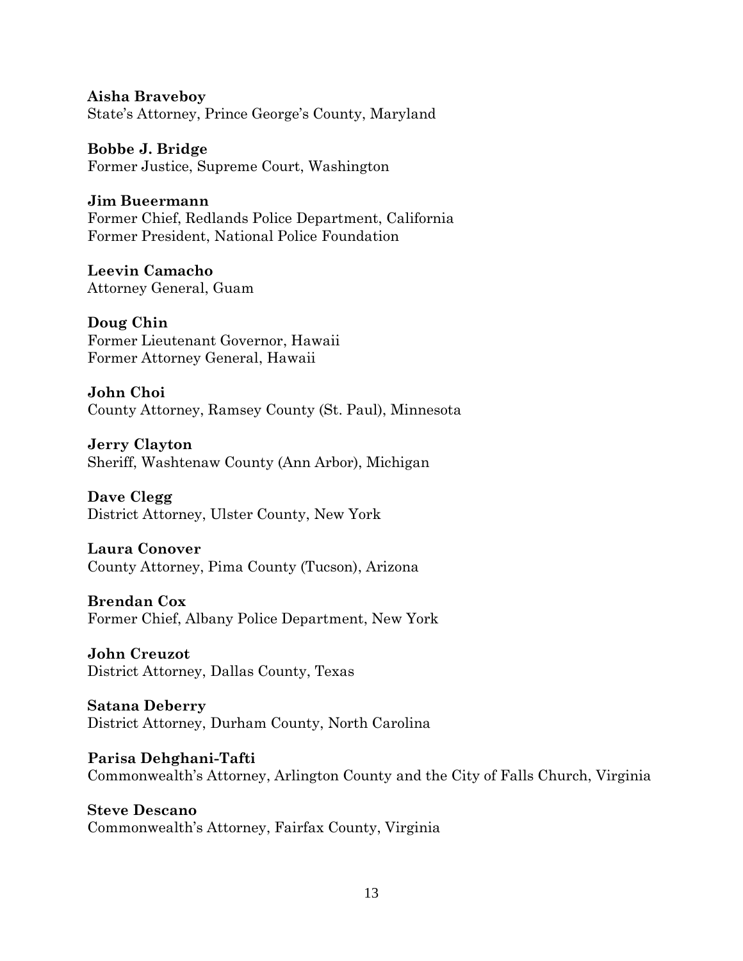**Aisha Braveboy** State's Attorney, Prince George's County, Maryland

**Bobbe J. Bridge** Former Justice, Supreme Court, Washington

**Jim Bueermann** Former Chief, Redlands Police Department, California Former President, National Police Foundation

**Leevin Camacho** Attorney General, Guam

**Doug Chin** Former Lieutenant Governor, Hawaii Former Attorney General, Hawaii

**John Choi** County Attorney, Ramsey County (St. Paul), Minnesota

**Jerry Clayton** Sheriff, Washtenaw County (Ann Arbor), Michigan

**Dave Clegg** District Attorney, Ulster County, New York

**Laura Conover** County Attorney, Pima County (Tucson), Arizona

**Brendan Cox** Former Chief, Albany Police Department, New York

**John Creuzot** District Attorney, Dallas County, Texas

**Satana Deberry**  District Attorney, Durham County, North Carolina

**Parisa Dehghani-Tafti** Commonwealth's Attorney, Arlington County and the City of Falls Church, Virginia

**Steve Descano** Commonwealth's Attorney, Fairfax County, Virginia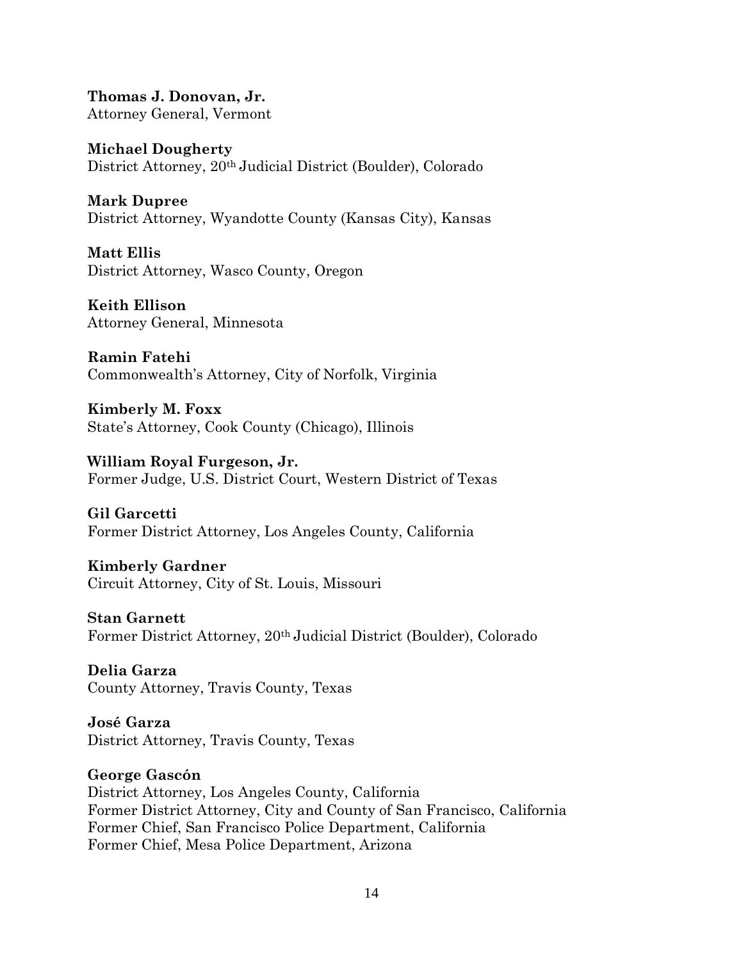**Thomas J. Donovan, Jr.** Attorney General, Vermont

**Michael Dougherty**  District Attorney, 20th Judicial District (Boulder), Colorado

**Mark Dupree** District Attorney, Wyandotte County (Kansas City), Kansas

**Matt Ellis** District Attorney, Wasco County, Oregon

**Keith Ellison** Attorney General, Minnesota

**Ramin Fatehi** Commonwealth's Attorney, City of Norfolk, Virginia

**Kimberly M. Foxx** State's Attorney, Cook County (Chicago), Illinois

**William Royal Furgeson, Jr.** Former Judge, U.S. District Court, Western District of Texas

**Gil Garcetti** Former District Attorney, Los Angeles County, California

**Kimberly Gardner** Circuit Attorney, City of St. Louis, Missouri

**Stan Garnett** Former District Attorney, 20th Judicial District (Boulder), Colorado

**Delia Garza** County Attorney, Travis County, Texas

**José Garza** District Attorney, Travis County, Texas

**George Gascón**

District Attorney, Los Angeles County, California Former District Attorney, City and County of San Francisco, California Former Chief, San Francisco Police Department, California Former Chief, Mesa Police Department, Arizona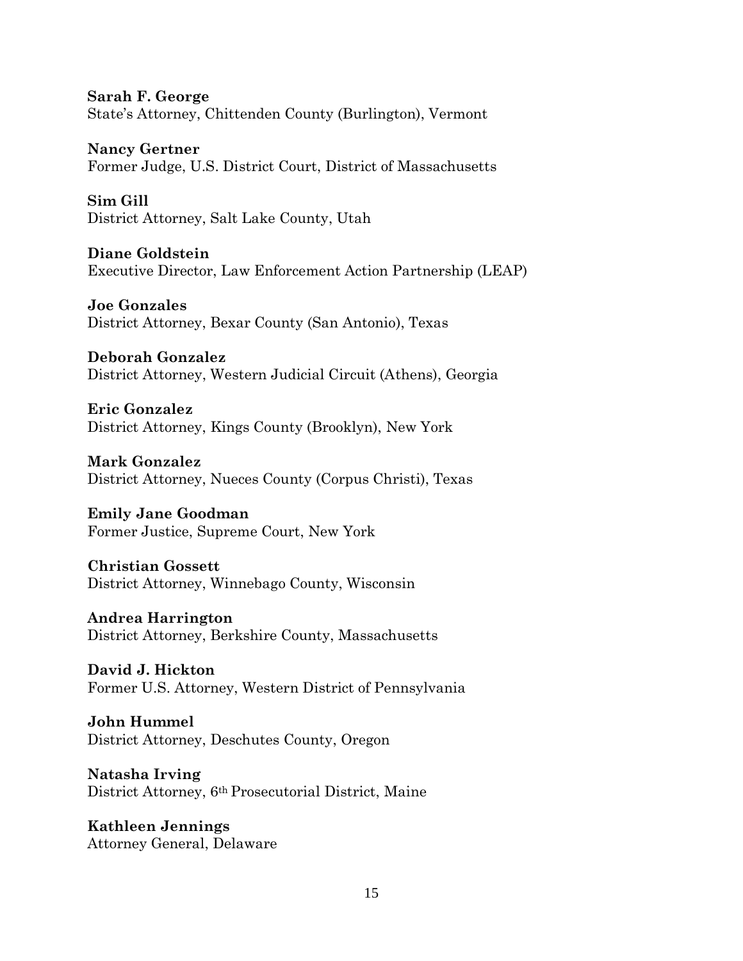**Sarah F. George** State's Attorney, Chittenden County (Burlington), Vermont

**Nancy Gertner** Former Judge, U.S. District Court, District of Massachusetts

**Sim Gill** District Attorney, Salt Lake County, Utah

**Diane Goldstein** Executive Director, Law Enforcement Action Partnership (LEAP)

**Joe Gonzales** District Attorney, Bexar County (San Antonio), Texas

**Deborah Gonzalez** District Attorney, Western Judicial Circuit (Athens), Georgia

**Eric Gonzalez** District Attorney, Kings County (Brooklyn), New York

**Mark Gonzalez** District Attorney, Nueces County (Corpus Christi), Texas

**Emily Jane Goodman** Former Justice, Supreme Court, New York

**Christian Gossett** District Attorney, Winnebago County, Wisconsin

**Andrea Harrington**  District Attorney, Berkshire County, Massachusetts

**David J. Hickton** Former U.S. Attorney, Western District of Pennsylvania

**John Hummel** District Attorney, Deschutes County, Oregon

**Natasha Irving** District Attorney, 6th Prosecutorial District, Maine

**Kathleen Jennings** Attorney General, Delaware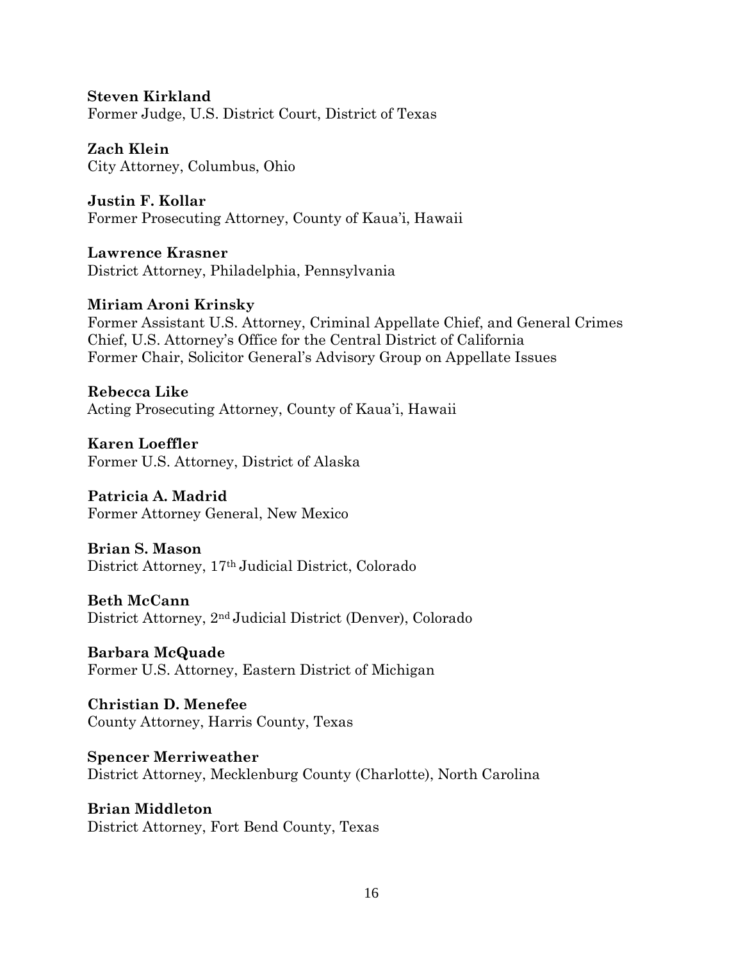**Steven Kirkland**  Former Judge, U.S. District Court, District of Texas

**Zach Klein** City Attorney, Columbus, Ohio

**Justin F. Kollar** Former Prosecuting Attorney, County of Kaua'i, Hawaii

**Lawrence Krasner** District Attorney, Philadelphia, Pennsylvania

# **Miriam Aroni Krinsky**

Former Assistant U.S. Attorney, Criminal Appellate Chief, and General Crimes Chief, U.S. Attorney's Office for the Central District of California Former Chair, Solicitor General's Advisory Group on Appellate Issues

**Rebecca Like** Acting Prosecuting Attorney, County of Kaua'i, Hawaii

**Karen Loeffler** Former U.S. Attorney, District of Alaska

**Patricia A. Madrid** Former Attorney General, New Mexico

**Brian S. Mason** District Attorney, 17th Judicial District, Colorado

**Beth McCann** District Attorney, 2nd Judicial District (Denver), Colorado

**Barbara McQuade**  Former U.S. Attorney, Eastern District of Michigan

**Christian D. Menefee** County Attorney, Harris County, Texas

**Spencer Merriweather** District Attorney, Mecklenburg County (Charlotte), North Carolina

**Brian Middleton** District Attorney, Fort Bend County, Texas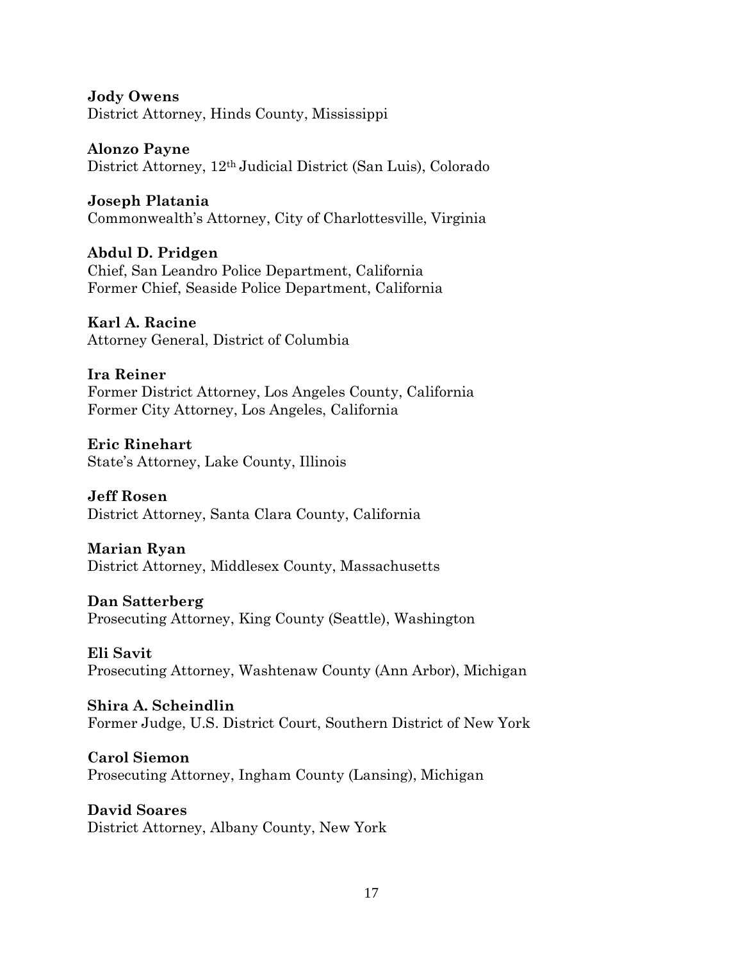**Jody Owens** District Attorney, Hinds County, Mississippi

**Alonzo Payne** District Attorney, 12th Judicial District (San Luis), Colorado

**Joseph Platania** Commonwealth's Attorney, City of Charlottesville, Virginia

**Abdul D. Pridgen** Chief, San Leandro Police Department, California Former Chief, Seaside Police Department, California

**Karl A. Racine** Attorney General, District of Columbia

**Ira Reiner** Former District Attorney, Los Angeles County, California Former City Attorney, Los Angeles, California

**Eric Rinehart** State's Attorney, Lake County, Illinois

**Jeff Rosen** District Attorney, Santa Clara County, California

**Marian Ryan** District Attorney, Middlesex County, Massachusetts

**Dan Satterberg** Prosecuting Attorney, King County (Seattle), Washington

**Eli Savit** Prosecuting Attorney, Washtenaw County (Ann Arbor), Michigan

**Shira A. Scheindlin** Former Judge, U.S. District Court, Southern District of New York

**Carol Siemon** Prosecuting Attorney, Ingham County (Lansing), Michigan

**David Soares** District Attorney, Albany County, New York